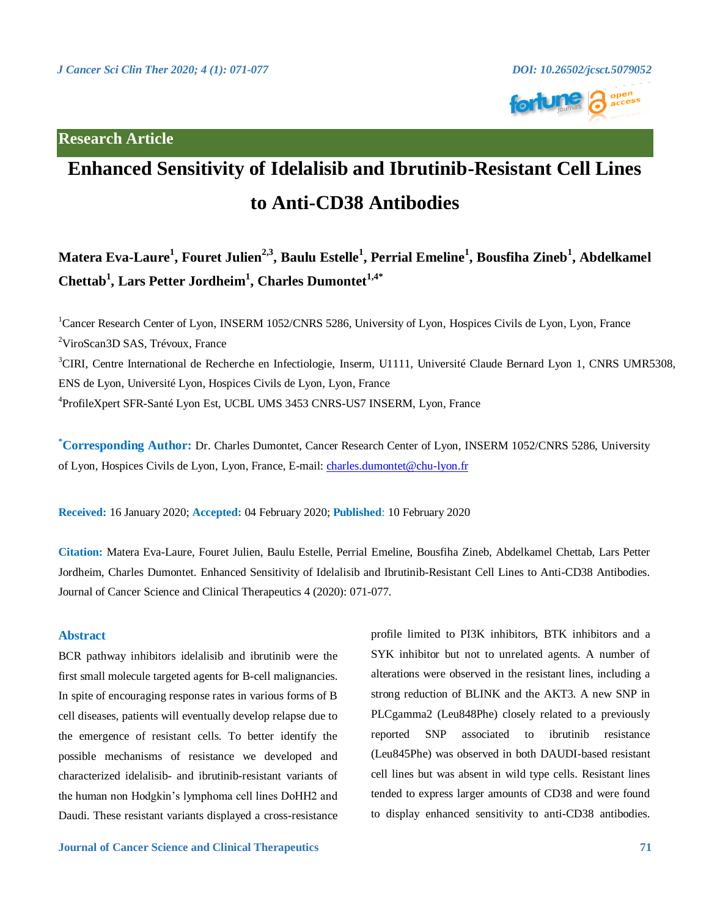# **Research Article**



# **Enhanced Sensitivity of Idelalisib and Ibrutinib-Resistant Cell Lines to Anti-CD38 Antibodies**

# **Matera Eva-Laure<sup>1</sup> , Fouret Julien2,3 , Baulu Estelle<sup>1</sup> , Perrial Emeline<sup>1</sup> , Bousfiha Zineb<sup>1</sup> , Abdelkamel Chettab<sup>1</sup> , Lars Petter Jordheim<sup>1</sup> , Charles Dumontet1,4\***

<sup>1</sup>Cancer Research Center of Lyon, INSERM 1052/CNRS 5286, University of Lyon, Hospices Civils de Lyon, Lyon, France <sup>2</sup>ViroScan3D SAS, Trévoux, France <sup>3</sup>CIRI, Centre International de Recherche en Infectiologie, Inserm, U1111, Université Claude Bernard Lyon 1, CNRS UMR5308, ENS de Lyon, Université Lyon, Hospices Civils de Lyon, Lyon, France 4 ProfileXpert SFR-Santé Lyon Est, UCBL UMS 3453 CNRS-US7 INSERM, Lyon, France

**\*Corresponding Author:** Dr. Charles Dumontet, Cancer Research Center of Lyon, INSERM 1052/CNRS 5286, University of Lyon, Hospices Civils de Lyon, Lyon, France, E-mail: [charles.dumontet@chu-lyon.fr](mailto:charles.dumontet@chu-lyon.fr)

**Received:** 16 January 2020; **Accepted:** 04 February 2020; **Published**: 10 February 2020

**Citation:** Matera Eva-Laure, Fouret Julien, Baulu Estelle, Perrial Emeline, Bousfiha Zineb, Abdelkamel Chettab, Lars Petter Jordheim, Charles Dumontet. Enhanced Sensitivity of Idelalisib and Ibrutinib-Resistant Cell Lines to Anti-CD38 Antibodies. Journal of Cancer Science and Clinical Therapeutics 4 (2020): 071-077.

# **Abstract**

BCR pathway inhibitors idelalisib and ibrutinib were the first small molecule targeted agents for B-cell malignancies. In spite of encouraging response rates in various forms of B cell diseases, patients will eventually develop relapse due to the emergence of resistant cells. To better identify the possible mechanisms of resistance we developed and characterized idelalisib- and ibrutinib-resistant variants of the human non Hodgkin's lymphoma cell lines DoHH2 and Daudi. These resistant variants displayed a cross-resistance

profile limited to PI3K inhibitors, BTK inhibitors and a SYK inhibitor but not to unrelated agents. A number of alterations were observed in the resistant lines, including a strong reduction of BLINK and the AKT3. A new SNP in PLCgamma2 (Leu848Phe) closely related to a previously reported SNP associated to ibrutinib resistance (Leu845Phe) was observed in both DAUDI-based resistant cell lines but was absent in wild type cells. Resistant lines tended to express larger amounts of CD38 and were found to display enhanced sensitivity to anti-CD38 antibodies.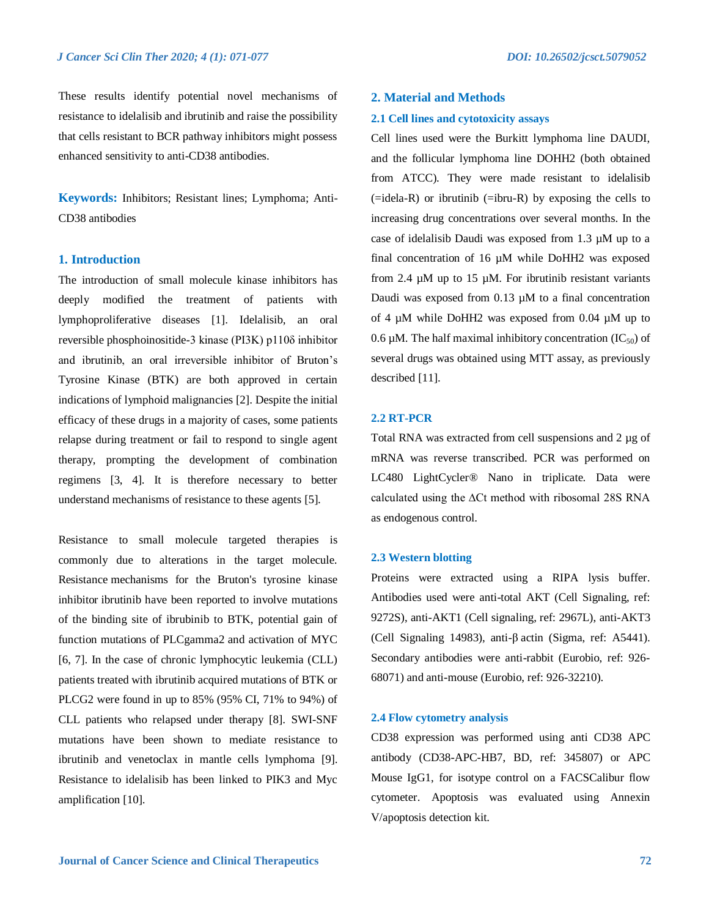These results identify potential novel mechanisms of resistance to idelalisib and ibrutinib and raise the possibility that cells resistant to BCR pathway inhibitors might possess enhanced sensitivity to anti-CD38 antibodies.

**Keywords:** Inhibitors; Resistant lines; Lymphoma; Anti-CD38 antibodies

# **1. Introduction**

The introduction of small molecule kinase inhibitors has deeply modified the treatment of patients with lymphoproliferative diseases [1]. Idelalisib, an oral reversible phosphoinositide-3 kinase (PI3K) p110δ inhibitor and ibrutinib, an oral irreversible inhibitor of Bruton's Tyrosine Kinase (BTK) are both approved in certain indications of lymphoid malignancies [2]. Despite the initial efficacy of these drugs in a majority of cases, some patients relapse during treatment or fail to respond to single agent therapy, prompting the development of combination regimens [3, 4]. It is therefore necessary to better understand mechanisms of resistance to these agents [5].

Resistance to small molecule targeted therapies is commonly due to alterations in the target molecule. Resistance mechanisms for the Bruton's tyrosine kinase inhibitor ibrutinib have been reported to involve mutations of the binding site of ibrubinib to BTK, potential gain of function mutations of PLCgamma2 and activation of MYC [6, 7]. In the case of chronic lymphocytic leukemia (CLL) patients treated with ibrutinib acquired mutations of BTK or PLCG2 were found in up to 85% (95% CI, 71% to 94%) of CLL patients who relapsed under therapy [8]. SWI-SNF mutations have been shown to mediate resistance to ibrutinib and venetoclax in mantle cells lymphoma [9]. Resistance to idelalisib has been linked to PIK3 and Myc amplification [10].

# **2. Material and Methods**

#### **2.1 Cell lines and cytotoxicity assays**

Cell lines used were the Burkitt lymphoma line DAUDI, and the follicular lymphoma line DOHH2 (both obtained from ATCC). They were made resistant to idelalisib  $($ =idela-R) or ibrutinib  $($ =ibru-R) by exposing the cells to increasing drug concentrations over several months. In the case of idelalisib Daudi was exposed from 1.3 µM up to a final concentration of 16 µM while DoHH2 was exposed from 2.4 µM up to 15 µM. For ibrutinib resistant variants Daudi was exposed from 0.13 µM to a final concentration of 4 µM while DoHH2 was exposed from 0.04 µM up to 0.6  $\mu$ M. The half maximal inhibitory concentration (IC<sub>50</sub>) of several drugs was obtained using MTT assay, as previously described [11].

#### **2.2 RT-PCR**

Total RNA was extracted from cell suspensions and 2 µg of mRNA was reverse transcribed. PCR was performed on LC480 LightCycler® Nano in triplicate. Data were calculated using the ∆Ct method with ribosomal 28S RNA as endogenous control.

#### **2.3 Western blotting**

Proteins were extracted using a RIPA lysis buffer. Antibodies used were anti-total AKT (Cell Signaling, ref: 9272S), anti-AKT1 (Cell signaling, ref: 2967L), anti-AKT3 (Cell Signaling 14983), anti-β actin (Sigma, ref: A5441). Secondary antibodies were anti-rabbit (Eurobio, ref: 926- 68071) and anti-mouse (Eurobio, ref: 926-32210).

#### **2.4 Flow cytometry analysis**

CD38 expression was performed using anti CD38 APC antibody (CD38-APC-HB7, BD, ref: 345807) or APC Mouse IgG1, for isotype control on a FACSCalibur flow cytometer. Apoptosis was evaluated using Annexin V/apoptosis detection kit.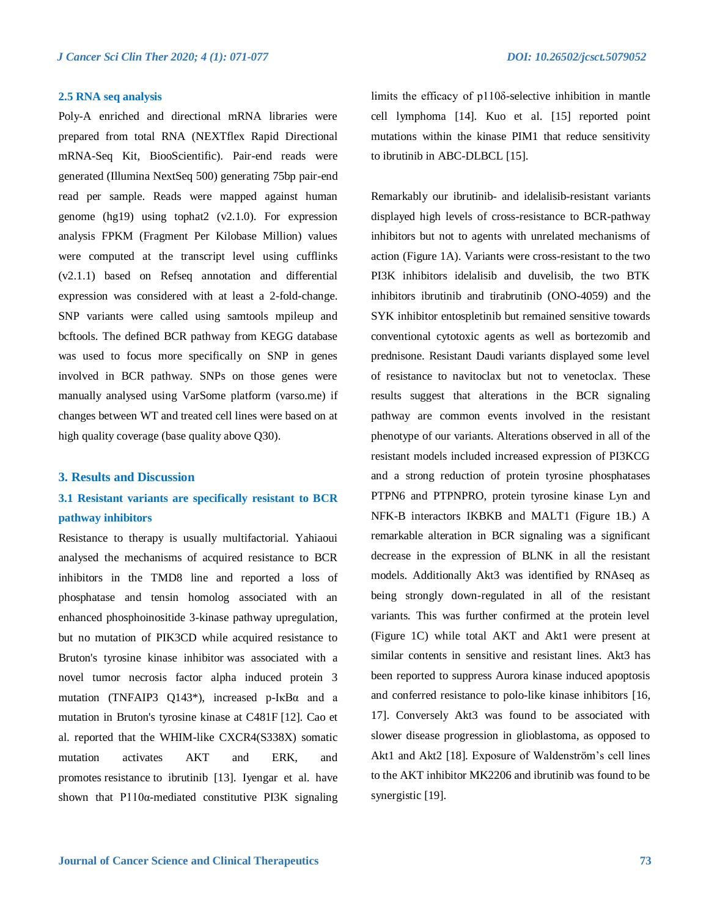#### **2.5 RNA seq analysis**

Poly-A enriched and directional mRNA libraries were prepared from total RNA (NEXTflex Rapid Directional mRNA-Seq Kit, BiooScientific). Pair-end reads were generated (Illumina NextSeq 500) generating 75bp pair-end read per sample. Reads were mapped against human genome (hg19) using tophat2 (v2.1.0). For expression analysis FPKM (Fragment Per Kilobase Million) values were computed at the transcript level using cufflinks (v2.1.1) based on Refseq annotation and differential expression was considered with at least a 2-fold-change. SNP variants were called using samtools mpileup and bcftools. The defined BCR pathway from KEGG database was used to focus more specifically on SNP in genes involved in BCR pathway. SNPs on those genes were manually analysed using VarSome platform (varso.me) if changes between WT and treated cell lines were based on at high quality coverage (base quality above Q30).

#### **3. Results and Discussion**

# **3.1 Resistant variants are specifically resistant to BCR pathway inhibitors**

Resistance to therapy is usually multifactorial. Yahiaoui analysed the mechanisms of acquired resistance to BCR inhibitors in the TMD8 line and reported a loss of phosphatase and tensin homolog associated with an enhanced phosphoinositide 3-kinase pathway upregulation, but no mutation of PIK3CD while acquired resistance to Bruton's tyrosine kinase inhibitor was associated with a novel tumor necrosis factor alpha induced protein 3 mutation (TNFAIP3 Q143\*), increased p-IκBα and a mutation in Bruton's tyrosine kinase at C481F [12]. Cao et al. reported that the WHIM-like CXCR4(S338X) somatic mutation activates AKT and ERK, and promotes resistance to ibrutinib [13]. Iyengar et al. have shown that  $P110\alpha$ -mediated constitutive PI3K signaling

limits the efficacy of p110δ-selective inhibition in mantle cell lymphoma [14]. Kuo et al. [15] reported point mutations within the kinase PIM1 that reduce sensitivity to ibrutinib in ABC-DLBCL [15].

Remarkably our ibrutinib- and idelalisib-resistant variants displayed high levels of cross-resistance to BCR-pathway inhibitors but not to agents with unrelated mechanisms of action (Figure 1A). Variants were cross-resistant to the two PI3K inhibitors idelalisib and duvelisib, the two BTK inhibitors ibrutinib and tirabrutinib (ONO-4059) and the SYK inhibitor entospletinib but remained sensitive towards conventional cytotoxic agents as well as bortezomib and prednisone. Resistant Daudi variants displayed some level of resistance to navitoclax but not to venetoclax. These results suggest that alterations in the BCR signaling pathway are common events involved in the resistant phenotype of our variants. Alterations observed in all of the resistant models included increased expression of PI3KCG and a strong reduction of protein tyrosine phosphatases PTPN6 and PTPNPRO, protein tyrosine kinase Lyn and NFK-B interactors IKBKB and MALT1 (Figure 1B.) A remarkable alteration in BCR signaling was a significant decrease in the expression of BLNK in all the resistant models. Additionally Akt3 was identified by RNAseq as being strongly down-regulated in all of the resistant variants. This was further confirmed at the protein level (Figure 1C) while total AKT and Akt1 were present at similar contents in sensitive and resistant lines. Akt3 has been reported to suppress Aurora kinase induced apoptosis and conferred resistance to polo-like kinase inhibitors [16, 17]. Conversely Akt3 was found to be associated with slower disease progression in glioblastoma, as opposed to Akt1 and Akt2 [18]. Exposure of Waldenström's cell lines to the AKT inhibitor MK2206 and ibrutinib was found to be synergistic [19].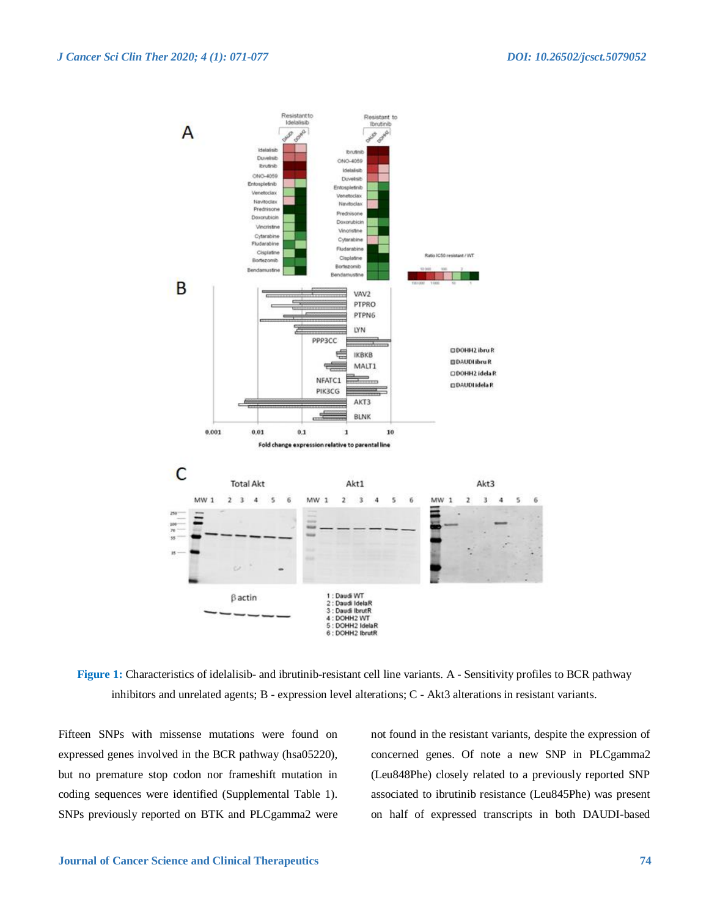

**Figure 1:** Characteristics of idelalisib- and ibrutinib-resistant cell line variants. A - Sensitivity profiles to BCR pathway inhibitors and unrelated agents; B - expression level alterations; C - Akt3 alterations in resistant variants.

Fifteen SNPs with missense mutations were found on expressed genes involved in the BCR pathway (hsa05220), but no premature stop codon nor frameshift mutation in coding sequences were identified (Supplemental Table 1). SNPs previously reported on BTK and PLCgamma2 were not found in the resistant variants, despite the expression of concerned genes. Of note a new SNP in PLCgamma2 (Leu848Phe) closely related to a previously reported SNP associated to ibrutinib resistance (Leu845Phe) was present on half of expressed transcripts in both DAUDI-based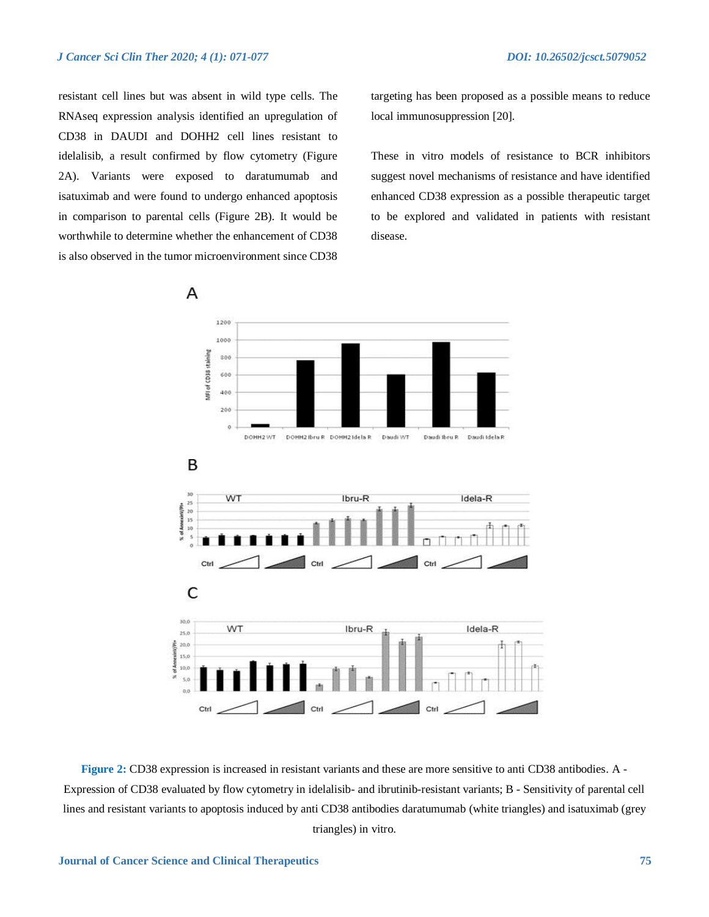resistant cell lines but was absent in wild type cells. The RNAseq expression analysis identified an upregulation of CD38 in DAUDI and DOHH2 cell lines resistant to idelalisib, a result confirmed by flow cytometry (Figure 2A). Variants were exposed to daratumumab and isatuximab and were found to undergo enhanced apoptosis in comparison to parental cells (Figure 2B). It would be worthwhile to determine whether the enhancement of CD38 is also observed in the tumor microenvironment since CD38

targeting has been proposed as a possible means to reduce local immunosuppression [20].

These in vitro models of resistance to BCR inhibitors suggest novel mechanisms of resistance and have identified enhanced CD38 expression as a possible therapeutic target to be explored and validated in patients with resistant disease.



**Figure 2:** CD38 expression is increased in resistant variants and these are more sensitive to anti CD38 antibodies. A - Expression of CD38 evaluated by flow cytometry in idelalisib- and ibrutinib-resistant variants; B - Sensitivity of parental cell lines and resistant variants to apoptosis induced by anti CD38 antibodies daratumumab (white triangles) and isatuximab (grey triangles) in vitro.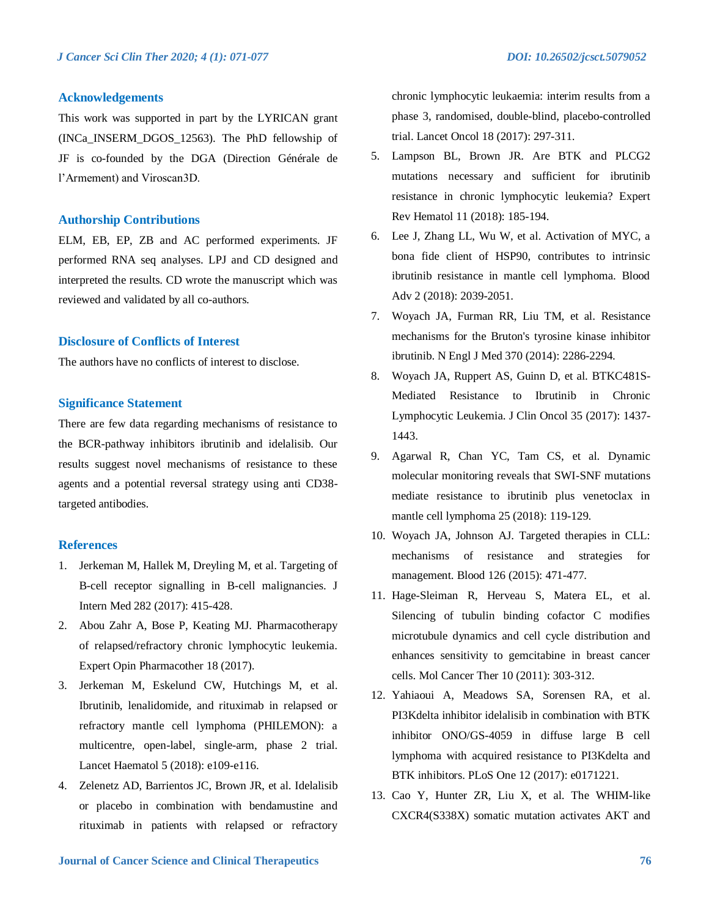# **Acknowledgements**

This work was supported in part by the LYRICAN grant (INCa\_INSERM\_DGOS\_12563). The PhD fellowship of JF is co-founded by the DGA (Direction Générale de l'Armement) and Viroscan3D.

#### **Authorship Contributions**

ELM, EB, EP, ZB and AC performed experiments. JF performed RNA seq analyses. LPJ and CD designed and interpreted the results. CD wrote the manuscript which was reviewed and validated by all co-authors.

#### **Disclosure of Conflicts of Interest**

The authors have no conflicts of interest to disclose.

# **Significance Statement**

There are few data regarding mechanisms of resistance to the BCR-pathway inhibitors ibrutinib and idelalisib. Our results suggest novel mechanisms of resistance to these agents and a potential reversal strategy using anti CD38 targeted antibodies.

# **References**

- 1. Jerkeman M, Hallek M, Dreyling M, et al. Targeting of B-cell receptor signalling in B-cell malignancies. J Intern Med 282 (2017): 415-428.
- 2. Abou Zahr A, Bose P, Keating MJ. Pharmacotherapy of relapsed/refractory chronic lymphocytic leukemia. Expert Opin Pharmacother 18 (2017).
- 3. Jerkeman M, Eskelund CW, Hutchings M, et al. Ibrutinib, lenalidomide, and rituximab in relapsed or refractory mantle cell lymphoma (PHILEMON): a multicentre, open-label, single-arm, phase 2 trial. Lancet Haematol 5 (2018): e109-e116.
- 4. Zelenetz AD, Barrientos JC, Brown JR, et al. Idelalisib or placebo in combination with bendamustine and rituximab in patients with relapsed or refractory

chronic lymphocytic leukaemia: interim results from a phase 3, randomised, double-blind, placebo-controlled trial. Lancet Oncol 18 (2017): 297-311.

- 5. Lampson BL, Brown JR. Are BTK and PLCG2 mutations necessary and sufficient for ibrutinib resistance in chronic lymphocytic leukemia? Expert Rev Hematol 11 (2018): 185-194.
- 6. Lee J, Zhang LL, Wu W, et al. Activation of MYC, a bona fide client of HSP90, contributes to intrinsic ibrutinib resistance in mantle cell lymphoma. Blood Adv 2 (2018): 2039-2051.
- 7. Woyach JA, Furman RR, Liu TM, et al. Resistance mechanisms for the Bruton's tyrosine kinase inhibitor ibrutinib. N Engl J Med 370 (2014): 2286-2294.
- 8. Woyach JA, Ruppert AS, Guinn D, et al. BTKC481S-Mediated Resistance to Ibrutinib in Chronic Lymphocytic Leukemia. J Clin Oncol 35 (2017): 1437- 1443.
- 9. Agarwal R, Chan YC, Tam CS, et al. Dynamic molecular monitoring reveals that SWI-SNF mutations mediate resistance to ibrutinib plus venetoclax in mantle cell lymphoma 25 (2018): 119-129.
- 10. Woyach JA, Johnson AJ. Targeted therapies in CLL: mechanisms of resistance and strategies for management. Blood 126 (2015): 471-477.
- 11. Hage-Sleiman R, Herveau S, Matera EL, et al. Silencing of tubulin binding cofactor C modifies microtubule dynamics and cell cycle distribution and enhances sensitivity to gemcitabine in breast cancer cells. Mol Cancer Ther 10 (2011): 303-312.
- 12. Yahiaoui A, Meadows SA, Sorensen RA, et al. PI3Kdelta inhibitor idelalisib in combination with BTK inhibitor ONO/GS-4059 in diffuse large B cell lymphoma with acquired resistance to PI3Kdelta and BTK inhibitors. PLoS One 12 (2017): e0171221.
- 13. Cao Y, Hunter ZR, Liu X, et al. The WHIM-like CXCR4(S338X) somatic mutation activates AKT and